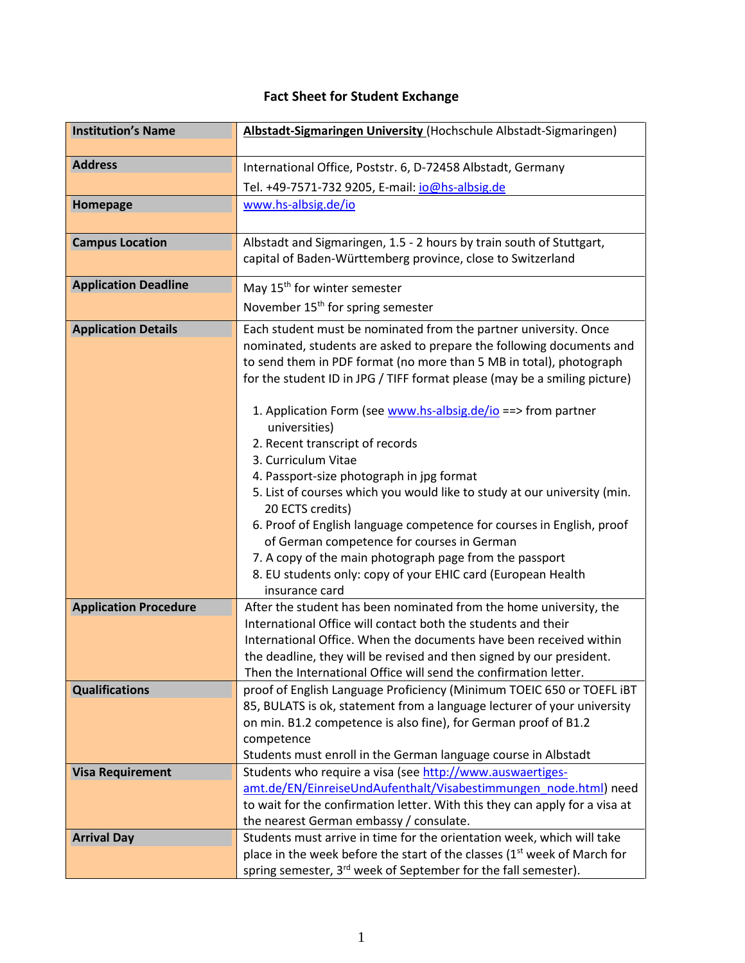## **Fact Sheet for Student Exchange**

| <b>Institution's Name</b>    | Albstadt-Sigmaringen University (Hochschule Albstadt-Sigmaringen)                                                                   |
|------------------------------|-------------------------------------------------------------------------------------------------------------------------------------|
| <b>Address</b>               | International Office, Poststr. 6, D-72458 Albstadt, Germany                                                                         |
|                              | Tel. +49-7571-732 9205, E-mail: io@hs-albsig.de                                                                                     |
| Homepage                     | www.hs-albsig.de/io                                                                                                                 |
|                              |                                                                                                                                     |
| <b>Campus Location</b>       | Albstadt and Sigmaringen, 1.5 - 2 hours by train south of Stuttgart,                                                                |
|                              | capital of Baden-Württemberg province, close to Switzerland                                                                         |
| <b>Application Deadline</b>  | May 15 <sup>th</sup> for winter semester                                                                                            |
|                              | November 15 <sup>th</sup> for spring semester                                                                                       |
| <b>Application Details</b>   | Each student must be nominated from the partner university. Once                                                                    |
|                              | nominated, students are asked to prepare the following documents and                                                                |
|                              | to send them in PDF format (no more than 5 MB in total), photograph                                                                 |
|                              | for the student ID in JPG / TIFF format please (may be a smiling picture)                                                           |
|                              |                                                                                                                                     |
|                              | 1. Application Form (see www.hs-albsig.de/io ==> from partner                                                                       |
|                              | universities)<br>2. Recent transcript of records                                                                                    |
|                              | 3. Curriculum Vitae                                                                                                                 |
|                              | 4. Passport-size photograph in jpg format                                                                                           |
|                              | 5. List of courses which you would like to study at our university (min.                                                            |
|                              | 20 ECTS credits)                                                                                                                    |
|                              | 6. Proof of English language competence for courses in English, proof                                                               |
|                              | of German competence for courses in German                                                                                          |
|                              | 7. A copy of the main photograph page from the passport                                                                             |
|                              | 8. EU students only: copy of your EHIC card (European Health                                                                        |
|                              | insurance card                                                                                                                      |
| <b>Application Procedure</b> | After the student has been nominated from the home university, the                                                                  |
|                              | International Office will contact both the students and their<br>International Office. When the documents have been received within |
|                              | the deadline, they will be revised and then signed by our president.                                                                |
|                              | Then the International Office will send the confirmation letter.                                                                    |
| <b>Qualifications</b>        | proof of English Language Proficiency (Minimum TOEIC 650 or TOEFL IBT                                                               |
|                              | 85, BULATS is ok, statement from a language lecturer of your university                                                             |
|                              | on min. B1.2 competence is also fine), for German proof of B1.2                                                                     |
|                              | competence                                                                                                                          |
|                              | Students must enroll in the German language course in Albstadt                                                                      |
| <b>Visa Requirement</b>      | Students who require a visa (see http://www.auswaertiges-                                                                           |
|                              | amt.de/EN/EinreiseUndAufenthalt/Visabestimmungen node.html) need                                                                    |
|                              | to wait for the confirmation letter. With this they can apply for a visa at                                                         |
|                              | the nearest German embassy / consulate.                                                                                             |
| <b>Arrival Day</b>           | Students must arrive in time for the orientation week, which will take                                                              |
|                              | place in the week before the start of the classes $(1st$ week of March for                                                          |
|                              | spring semester, 3 <sup>rd</sup> week of September for the fall semester).                                                          |